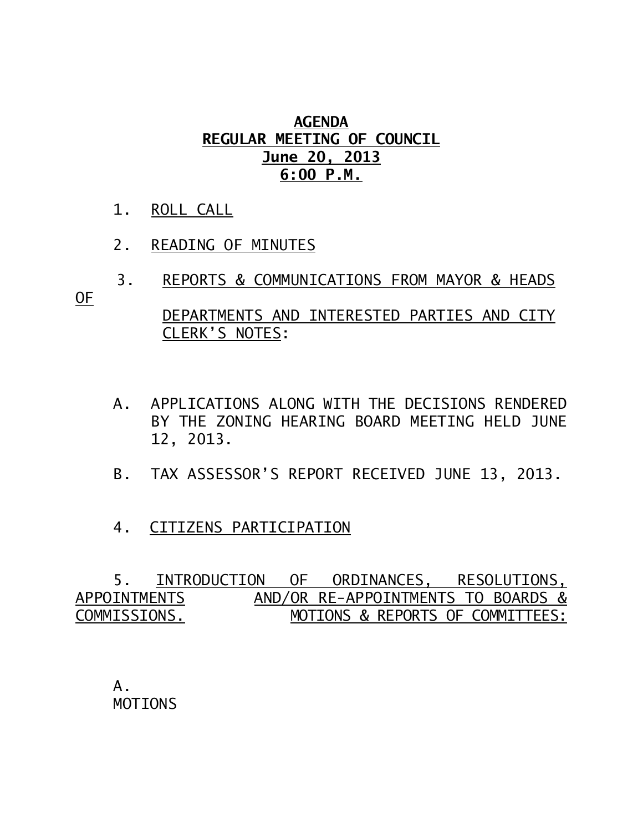## **AGENDA REGULAR MEETING OF COUNCIL June 20, 2013 6:00 P.M.**

- 1. ROLL CALL
- 2. READING OF MINUTES

CLERK'S NOTES:

- 3. REPORTS & COMMUNICATIONS FROM MAYOR & HEADS OF DEPARTMENTS AND INTERESTED PARTIES AND CITY
	- A. APPLICATIONS ALONG WITH THE DECISIONS RENDERED BY THE ZONING HEARING BOARD MEETING HELD JUNE 12, 2013.
	- B. TAX ASSESSOR'S REPORT RECEIVED JUNE 13, 2013.
	- 4. CITIZENS PARTICIPATION

 5. INTRODUCTION OF ORDINANCES, RESOLUTIONS, APPOINTMENTSAND/OR RE-APPOINTMENTS TO BOARDS & COMMISSIONS. MOTIONS & REPORTS OF COMMITTEES:

A. MOTIONS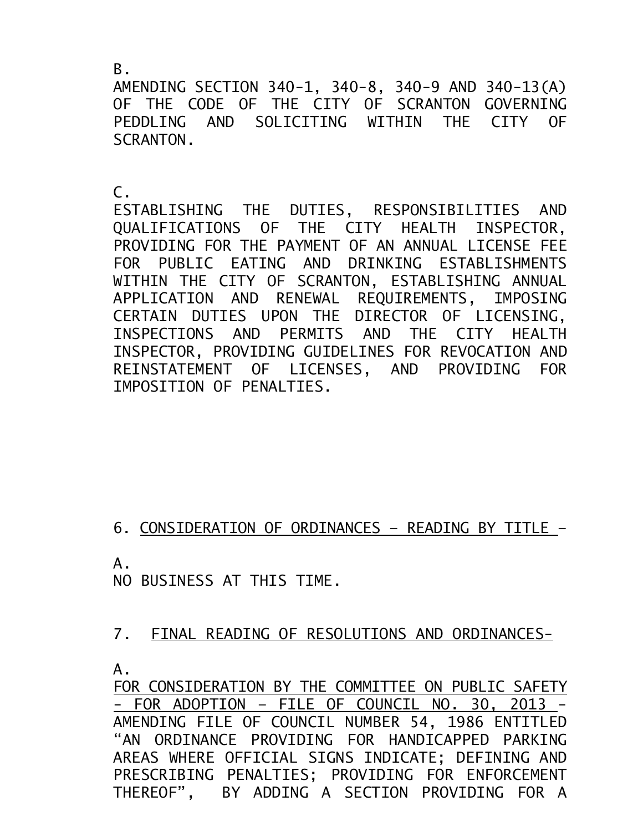$B<sub>-</sub>$ 

AMENDING SECTION 340-1, 340-8, 340-9 AND 340-13(A) OF THE CODE OF THE CITY OF SCRANTON GOVERNING PEDDLING AND SOLICITING WITHIN THE CITY OF SCRANTON.

 $\mathsf{C}$ .

ESTABLISHING THE DUTIES, RESPONSIBILITIES AND QUALIFICATIONS OF THE CITY HEALTH INSPECTOR, PROVIDING FOR THE PAYMENT OF AN ANNUAL LICENSE FEE FOR PUBLIC EATING AND DRINKING ESTABLISHMENTS WITHIN THE CITY OF SCRANTON, ESTABLISHING ANNUAL APPLICATION AND RENEWAL REQUIREMENTS, IMPOSING CERTAIN DUTIES UPON THE DIRECTOR OF LICENSING, INSPECTIONS AND PERMITS AND THE CITY HEALTH INSPECTOR, PROVIDING GUIDELINES FOR REVOCATION AND REINSTATEMENT OF LICENSES, AND PROVIDING FOR IMPOSITION OF PENALTIES.

6. CONSIDERATION OF ORDINANCES – READING BY TITLE –

A.

NO BUSINESS AT THIS TIME.

7. FINAL READING OF RESOLUTIONS AND ORDINANCES-

A.

FOR CONSIDERATION BY THE COMMITTEE ON PUBLIC SAFETY - FOR ADOPTION – FILE OF COUNCIL NO. 30, 2013 - AMENDING FILE OF COUNCIL NUMBER 54, 1986 ENTITLED "AN ORDINANCE PROVIDING FOR HANDICAPPED PARKING AREAS WHERE OFFICIAL SIGNS INDICATE; DEFINING AND PRESCRIBING PENALTIES; PROVIDING FOR ENFORCEMENT THEREOF", BY ADDING A SECTION PROVIDING FOR A